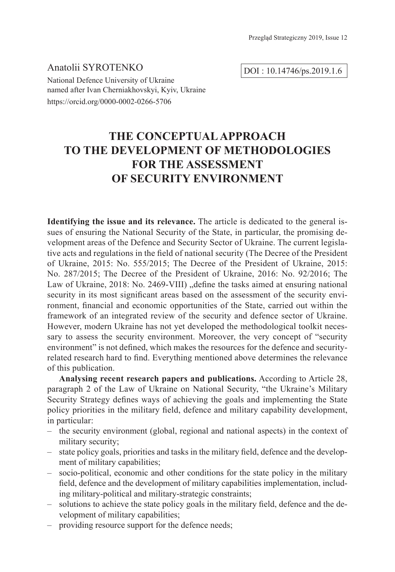Аnatolii SYROTENKO National Defence University of Ukraine named after Ivan Cherniakhovskyi, Kyiv, Ukraine https://orcid.org/0000-0002-0266-5706

DOI : 10.14746/ps.2019.1.6

# **THE CONCEPTUAL APPROACH TO THE DEVELOPMENT OF METHODOLOGIES FOR THE ASSESSMENT OF SECURITY ENVIRONMENT**

**Identifying the issue and its relevance.** The article is dedicated to the general issues of ensuring the National Security of the State, in particular, the promising development areas of the Defence and Security Sector of Ukraine. The current legislative acts and regulations in the field of national security (The Decree of the President of Ukraine, 2015: No. 555/2015; The Decree of the President of Ukraine, 2015: No. 287/2015; The Decree of the President of Ukraine, 2016: No. 92/2016; The Law of Ukraine, 2018: No. 2469-VIII), define the tasks aimed at ensuring national security in its most significant areas based on the assessment of the security environment, financial and economic opportunities of the State, carried out within the framework of an integrated review of the security and defence sector of Ukraine. However, modern Ukraine has not yet developed the methodological toolkit necessary to assess the security environment. Moreover, the very concept of "security environment" is not defined, which makes the resources for the defence and securityrelated research hard to find. Everything mentioned above determines the relevance of this publication.

**Analysing recent research papers and publications.** According to Article 28, paragraph 2 of the Law of Ukraine on National Security, "the Ukraine's Military Security Strategy defines ways of achieving the goals and implementing the State policy priorities in the military field, defence and military capability development, in particular:

- the security environment (global, regional and national aspects) in the context of military security;
- state policy goals, priorities and tasks in the military field, defence and the development of military capabilities;
- socio-political, economic and other conditions for the state policy in the military field, defence and the development of military capabilities implementation, including military-political and military-strategic constraints;
- solutions to achieve the state policy goals in the military field, defence and the development of military capabilities;
- providing resource support for the defence needs;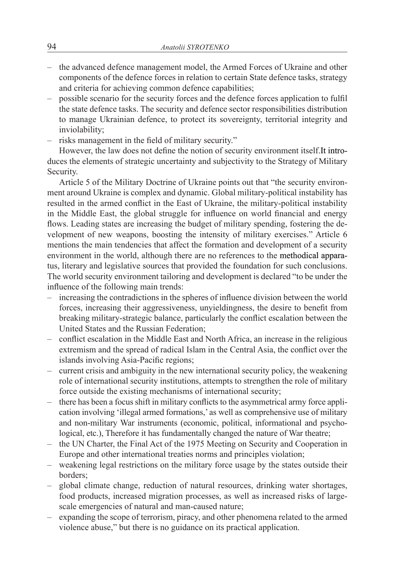- the advanced defence management model, the Armed Forces of Ukraine and other components of the defence forces in relation to certain State defence tasks, strategy and criteria for achieving common defence capabilities;
- possible scenario for the security forces and the defence forces application to fulfil the state defence tasks. The security and defence sector responsibilities distribution to manage Ukrainian defence, to protect its sovereignty, territorial integrity and inviolability;
- risks management in the field of military security."

However, the law does not define the notion of security environment itself.It introduces the elements of strategic uncertainty and subjectivity to the Strategy of Military Security.

Article 5 of the Military Doctrine of Ukraine points out that "the security environment around Ukraine is complex and dynamic. Global military-political instability has resulted in the armed conflict in the East of Ukraine, the military-political instability in the Middle East, the global struggle for influence on world financial and energy flows. Leading states are increasing the budget of military spending, fostering the development of new weapons, boosting the intensity of military exercises." Article 6 mentions the main tendencies that affect the formation and development of a security environment in the world, although there are no references to the methodical apparatus, literary and legislative sources that provided the foundation for such conclusions. The world security environment tailoring and development is declared "to be under the influence of the following main trends:

- increasing the contradictions in the spheres of influence division between the world forces, increasing their aggressiveness, unyieldingness, the desire to benefit from breaking military-strategic balance, particularly the conflict escalation between the United States and the Russian Federation;
- conflict escalation in the Middle East and North Africa, an increase in the religious extremism and the spread of radical Islam in the Central Asia, the conflict over the islands involving Asia-Pacific regions;
- current crisis and ambiguity in the new international security policy, the weakening role of international security institutions, attempts to strengthen the role of military force outside the existing mechanisms of international security;
- there has been a focus shift in military conflicts to the asymmetrical army force application involving 'illegal armed formations,' as well as comprehensive use of military and non-military War instruments (economic, political, informational and psychological, etc.), Therefore it has fundamentally changed the nature of War theatre;
- the UN Charter, the Final Act of the 1975 Meeting on Security and Cooperation in Europe and other international treaties norms and principles violation;
- weakening legal restrictions on the military force usage by the states outside their borders;
- global climate change, reduction of natural resources, drinking water shortages, food products, increased migration processes, as well as increased risks of largescale emergencies of natural and man-caused nature;
- expanding the scope of terrorism, piracy, and other phenomena related to the armed violence abuse," but there is no guidance on its practical application.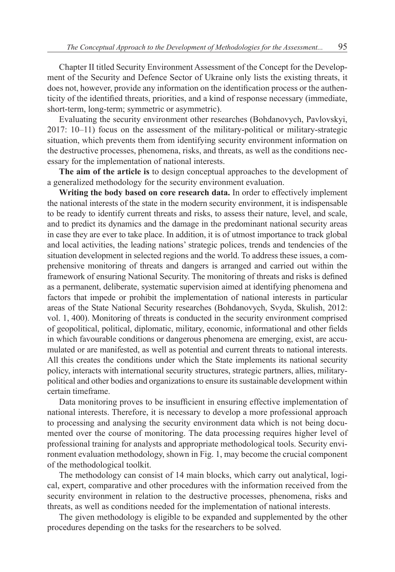Chapter II titled Security Environment Assessment of the Concept for the Development of the Security and Defence Sector of Ukraine only lists the existing threats, it does not, however, provide any information on the identification process or the authenticity of the identified threats, priorities, and a kind of response necessary (immediate, short-term, long-term; symmetric or asymmetric).

Evaluating the security environment other researches (Bohdanovych, Pavlovskyi, 2017: 10–11) focus on the assessment of the military-political or military-strategic situation, which prevents them from identifying security environment information on the destructive processes, phenomena, risks, and threats, as well as the conditions necessary for the implementation of national interests.

**The aim of the article is** to design conceptual approaches to the development of a generalized methodology for the security environment evaluation.

**Writing the body based on core research data.** In order to effectively implement the national interests of the state in the modern security environment, it is indispensable to be ready to identify current threats and risks, to assess their nature, level, and scale, and to predict its dynamics and the damage in the predominant national security areas in case they are ever to take place. In addition, it is of utmost importance to track global and local activities, the leading nations' strategic polices, trends and tendencies of the situation development in selected regions and the world. To address these issues, a comprehensive monitoring of threats and dangers is arranged and carried out within the framework of ensuring National Security. The monitoring of threats and risks is defined as a permanent, deliberate, systematic supervision aimed at identifying phenomena and factors that impede or prohibit the implementation of national interests in particular areas of the State National Security researches (Bohdanovych, Svyda, Skulish, 2012: vol. 1, 400). Monitoring of threats is conducted in the security environment comprised of geopolitical, political, diplomatic, military, economic, informational and other fields in which favourable conditions or dangerous phenomena are emerging, exist, are accumulated or are manifested, as well as potential and current threats to national interests. All this creates the conditions under which the State implements its national security policy, interacts with international security structures, strategic partners, allies, militarypolitical and other bodies and organizations to ensure its sustainable development within certain timeframe.

Data monitoring proves to be insufficient in ensuring effective implementation of national interests. Therefore, it is necessary to develop a more professional approach to processing and analysing the security environment data which is not being documented over the course of monitoring. The data processing requires higher level of professional training for analysts and appropriate methodological tools. Security environment evaluation methodology, shown in Fig. 1, may become the crucial component of the methodological toolkit.

The methodology can consist of 14 main blocks, which carry out analytical, logical, expert, comparative and other procedures with the information received from the security environment in relation to the destructive processes, phenomena, risks and threats, as well as conditions needed for the implementation of national interests.

The given methodology is eligible to be expanded and supplemented by the other procedures depending on the tasks for the researchers to be solved.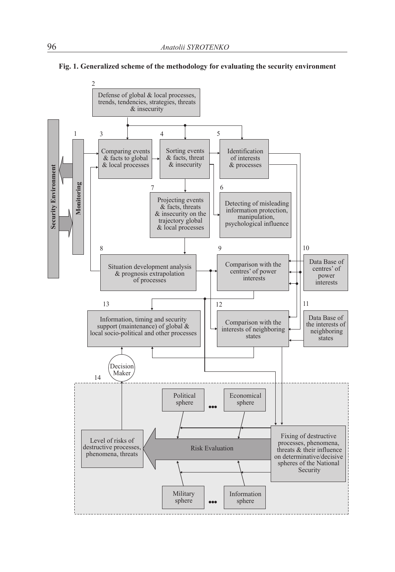

#### **Fig. 1. Generalized scheme of the methodology for evaluating the security environment**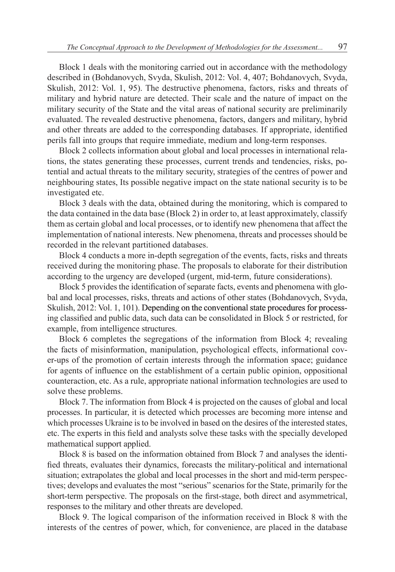Block 1 deals with the monitoring carried out in accordance with the methodology described in (Bohdanovych, Svyda, Skulish, 2012: Vol. 4, 407; Bohdanovych, Svyda, Skulish, 2012: Vol. 1, 95). The destructive phenomena, factors, risks and threats of military and hybrid nature are detected. Their scale and the nature of impact on the military security of the State and the vital areas of national security are preliminarily evaluated. The revealed destructive phenomena, factors, dangers and military, hybrid and other threats are added to the corresponding databases. If appropriate, identified perils fall into groups that require immediate, medium and long-term responses.

Block 2 collects information about global and local processes in international relations, the states generating these processes, current trends and tendencies, risks, potential and actual threats to the military security, strategies of the centres of power and neighbouring states, Its possible negative impact on the state national security is to be investigated etc.

Block 3 deals with the data, obtained during the monitoring, which is compared to the data contained in the data base (Block 2) in order to, at least approximately, classify them as certain global and local processes, or to identify new phenomena that affect the implementation of national interests. New phenomena, threats and processes should be recorded in the relevant partitioned databases.

Block 4 conducts a more in-depth segregation of the events, facts, risks and threats received during the monitoring phase. The proposals to elaborate for their distribution according to the urgency are developed (urgent, mid-term, future considerations).

Block 5 provides the identification of separate facts, events and phenomena with global and local processes, risks, threats and actions of other states (Bohdanovych, Svyda, Skulish, 2012: Vol. 1, 101). Depending on the conventional state procedures for processing classified and public data, such data can be consolidated in Block 5 or restricted, for example, from intelligence structures.

Block 6 completes the segregations of the information from Block 4; revealing the facts of misinformation, manipulation, psychological effects, informational cover-ups of the promotion of certain interests through the information space; guidance for agents of influence on the establishment of a certain public opinion, oppositional counteraction, etc. As a rule, appropriate national information technologies are used to solve these problems.

Block 7. The information from Block 4 is projected on the causes of global and local processes. In particular, it is detected which processes are becoming more intense and which processes Ukraine is to be involved in based on the desires of the interested states, etc. The experts in this field and analysts solve these tasks with the specially developed mathematical support applied.

Block 8 is based on the information obtained from Block 7 and analyses the identified threats, evaluates their dynamics, forecasts the military-political and international situation; extrapolates the global and local processes in the short and mid-term perspectives; develops and evaluates the most "serious" scenarios for the State, primarily for the short-term perspective. The proposals on the first-stage, both direct and asymmetrical, responses to the military and other threats are developed.

Block 9. The logical comparison of the information received in Block 8 with the interests of the centres of power, which, for convenience, are placed in the database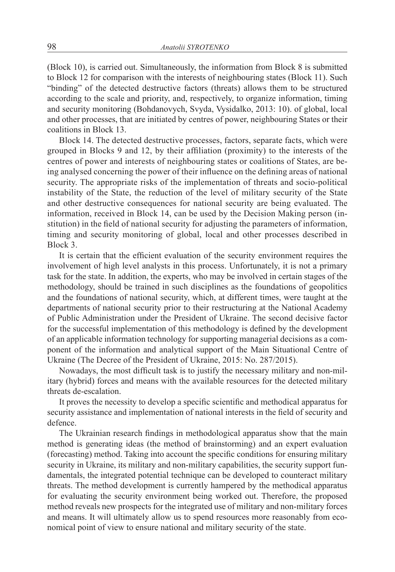(Block 10), is carried out. Simultaneously, the information from Block 8 is submitted to Block 12 for comparison with the interests of neighbouring states (Block 11). Such "binding" of the detected destructive factors (threats) allows them to be structured according to the scale and priority, and, respectively, to organize information, timing and security monitoring (Bohdanovych, Svyda, Vysidalko, 2013: 10). of global, local and other processes, that are initiated by centres of power, neighbouring States or their coalitions in Block 13.

Block 14. The detected destructive processes, factors, separate facts, which were grouped in Blocks 9 and 12, by their affiliation (proximity) to the interests of the centres of power and interests of neighbouring states or coalitions of States, are being analysed concerning the power of their influence on the defining areas of national security. The appropriate risks of the implementation of threats and socio-political instability of the State, the reduction of the level of military security of the State and other destructive consequences for national security are being evaluated. The information, received in Block 14, can be used by the Decision Making person (institution) in the field of national security for adjusting the parameters of information, timing and security monitoring of global, local and other processes described in Block 3.

It is certain that the efficient evaluation of the security environment requires the involvement of high level analysts in this process. Unfortunately, it is not a primary task for the state. In addition, the experts, who may be involved in certain stages of the methodology, should be trained in such disciplines as the foundations of geopolitics and the foundations of national security, which, at different times, were taught at the departments of national security prior to their restructuring at the National Academy of Public Administration under the President of Ukraine. The second decisive factor for the successful implementation of this methodology is defined by the development of an applicable information technology for supporting managerial decisions as a component of the information and analytical support of the Main Situational Centre of Ukraine (The Decree of the President of Ukraine, 2015: No. 287/2015).

Nowadays, the most difficult task is to justify the necessary military and non-military (hybrid) forces and means with the available resources for the detected military threats de-escalation.

It proves the necessity to develop a specific scientific and methodical apparatus for security assistance and implementation of national interests in the field of security and defence.

The Ukrainian research findings in methodological apparatus show that the main method is generating ideas (the method of brainstorming) and an expert evaluation (forecasting) method. Taking into account the specific conditions for ensuring military security in Ukraine, its military and non-military capabilities, the security support fundamentals, the integrated potential technique can be developed to counteract military threats. The method development is currently hampered by the methodical apparatus for evaluating the security environment being worked out. Therefore, the proposed method reveals new prospects for the integrated use of military and non-military forces and means. It will ultimately allow us to spend resources more reasonably from economical point of view to ensure national and military security of the state.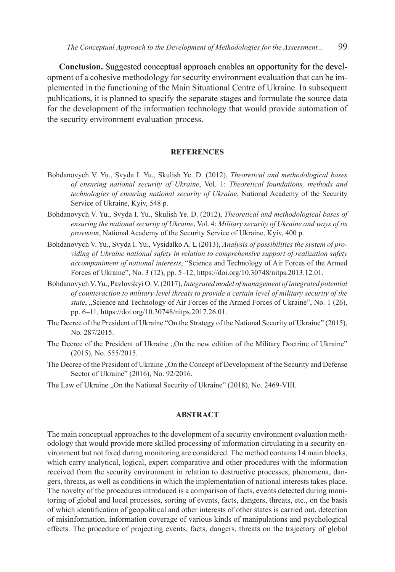**Conclusion.** Suggested conceptual approach enables an opportunity for the development of a cohesive methodology for security environment evaluation that can be implemented in the functioning of the Main Situational Centre of Ukraine. In subsequent publications, it is planned to specify the separate stages and formulate the source data for the development of the information technology that would provide automation of the security environment evaluation process.

#### **REFERENCES**

- Bohdanovych V. Yu., Svyda I. Yu., Skulish Ye. D. (2012), *Theoretical and methodological bases of ensuring national security of Ukraine*, Vol. 1: *Theoretical foundations, methods and technologies of ensuring national security of Ukraine*, National Academy of the Security Service of Ukraine, Kyiv, 548 p.
- Bohdanovych V. Yu., Svyda I. Yu., Skulish Ye. D. (2012), *Theoretical and methodological bases of ensuring the national security of Ukraine*, Vol. 4: *Military security of Ukraine and ways of its provision*, National Academy of the Security Service of Ukraine, Kyiv, 400 p.
- Bohdanovych V. Yu., Svyda I. Yu., Vysidalko A. L (2013), *Analysis of possibilities the system of providing of Ukraine national safety in relation to comprehensive support of realization safety accompaniment of national interests*, "Science and Technology of Air Forces of the Armed Forces of Ukraine", No. 3 (12), pp. 5–12, https://doi.org/10.30748/nitps.2013.12.01.
- BohdanovychV.Yu., Pavlovskyi O.V. (2017), *Integrated model of management of integrated potential of counteraction to military-level threats to provide a certain level of military security of the state*, "Science and Technology of Air Forces of the Armed Forces of Ukraine", No. 1 (26), pp. 6–11, https://doi.org/10.30748/nitps.2017.26.01.
- The Decree of the President of Ukraine "On the Strategy of the National Security of Ukraine" (2015), No. 287/2015.
- The Decree of the President of Ukraine "On the new edition of the Military Doctrine of Ukraine" (2015), No. 555/2015.
- The Decree of the President of Ukraine "On the Concept of Development of the Security and Defense Sector of Ukraine" (2016), No. 92/2016.
- The Law of Ukraine "On the National Security of Ukraine" (2018), No. 2469-VIII.

### **ABSTRACT**

The main conceptual approaches to the development of a security environment evaluation methodology that would provide more skilled processing of information circulating in a security environment but not fixed during monitoring are considered. The method contains 14 main blocks, which carry analytical, logical, expert comparative and other procedures with the information received from the security environment in relation to destructive processes, phenomena, dangers, threats, as well as conditions in which the implementation of national interests takes place. The novelty of the procedures introduced is a comparison of facts, events detected during monitoring of global and local processes, sorting of events, facts, dangers, threats, etc., on the basis of which identification of geopolitical and other interests of other states is carried out, detection of misinformation, information coverage of various kinds of manipulations and psychological effects. The procedure of projecting events, facts, dangers, threats on the trajectory of global